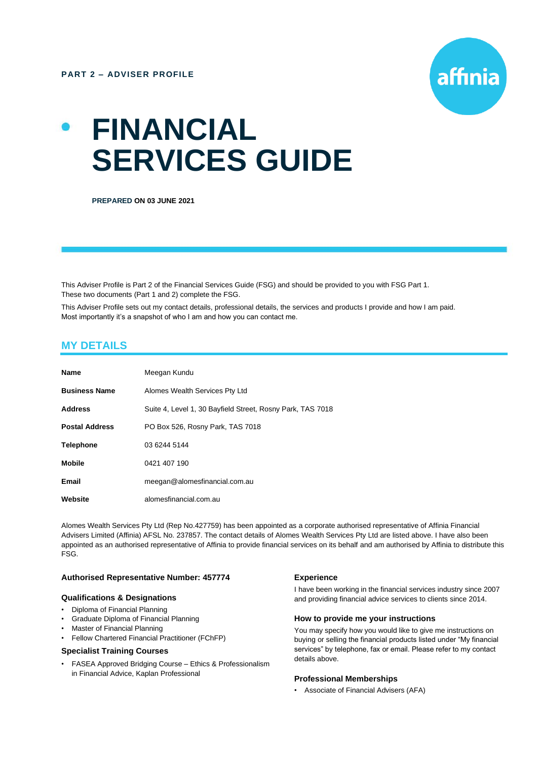

# **FINANCIAL SERVICES GUIDE**

**PREPARED ON 03 JUNE 2021**

This Adviser Profile is Part 2 of the Financial Services Guide (FSG) and should be provided to you with FSG Part 1. These two documents (Part 1 and 2) complete the FSG.

This Adviser Profile sets out my contact details, professional details, the services and products I provide and how I am paid. Most importantly it's a snapshot of who I am and how you can contact me.

# **MY DETAILS**

| <b>Name</b>           | Meegan Kundu                                               |
|-----------------------|------------------------------------------------------------|
| <b>Business Name</b>  | Alomes Wealth Services Pty Ltd                             |
| <b>Address</b>        | Suite 4, Level 1, 30 Bayfield Street, Rosny Park, TAS 7018 |
| <b>Postal Address</b> | PO Box 526, Rosny Park, TAS 7018                           |
| <b>Telephone</b>      | 03 6244 5144                                               |
| <b>Mobile</b>         | 0421 407 190                                               |
| Email                 | meegan@alomesfinancial.com.au                              |
| Website               | alomesfinancial.com.au                                     |

Alomes Wealth Services Pty Ltd (Rep No.427759) has been appointed as a corporate authorised representative of Affinia Financial Advisers Limited (Affinia) AFSL No. 237857. The contact details of Alomes Wealth Services Pty Ltd are listed above. I have also been appointed as an authorised representative of Affinia to provide financial services on its behalf and am authorised by Affinia to distribute this FSG.

#### **Authorised Representative Number: 457774**

#### **Qualifications & Designations**

- Diploma of Financial Planning
- Graduate Diploma of Financial Planning
- Master of Financial Planning
- Fellow Chartered Financial Practitioner (FChFP)

#### **Specialist Training Courses**

• FASEA Approved Bridging Course – Ethics & Professionalism in Financial Advice, Kaplan Professional

#### **Experience**

I have been working in the financial services industry since 2007 and providing financial advice services to clients since 2014.

#### **How to provide me your instructions**

You may specify how you would like to give me instructions on buying or selling the financial products listed under "My financial services" by telephone, fax or email. Please refer to my contact details above.

#### **Professional Memberships**

• Associate of Financial Advisers (AFA)